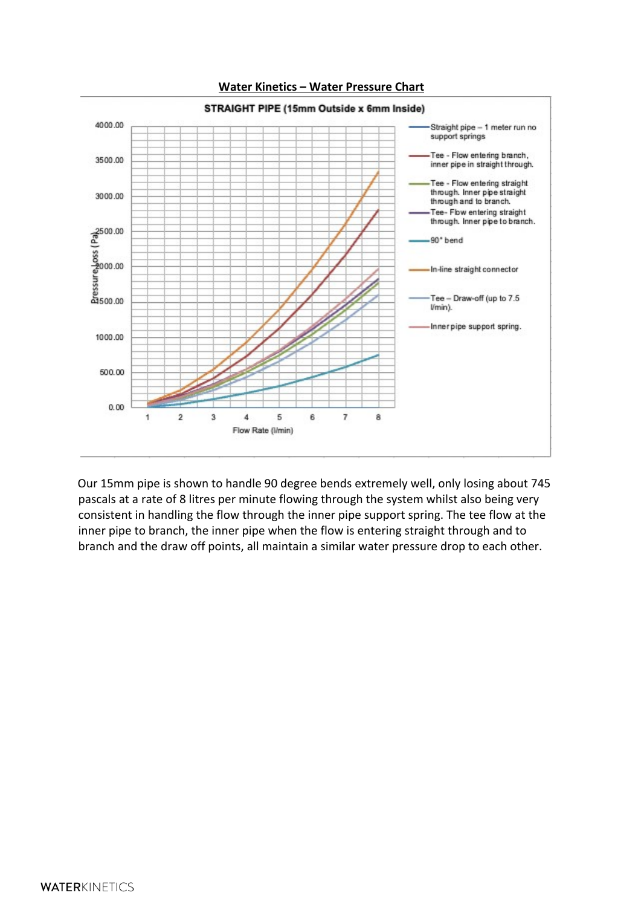

**Water Kinetics – Water Pressure Chart**

Our 15mm pipe is shown to handle 90 degree bends extremely well, only losing about 745 pascals at a rate of 8 litres per minute flowing through the system whilst also being very consistent in handling the flow through the inner pipe support spring. The tee flow at the inner pipe to branch, the inner pipe when the flow is entering straight through and to branch and the draw off points, all maintain a similar water pressure drop to each other.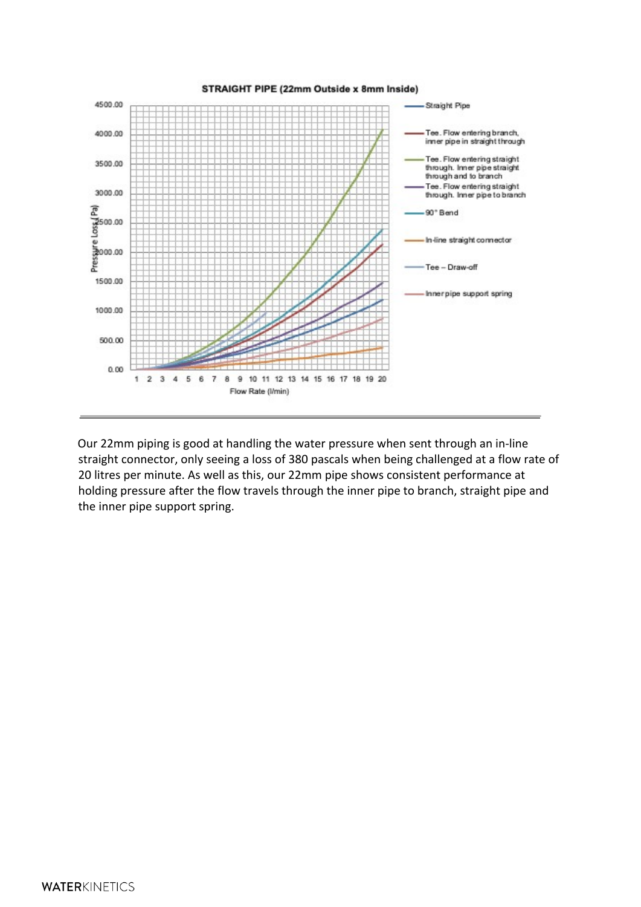

Our 22mm piping is good at handling the water pressure when sent through an in-line straight connector, only seeing a loss of 380 pascals when being challenged at a flow rate of 20 litres per minute. As well as this, our 22mm pipe shows consistent performance at holding pressure after the flow travels through the inner pipe to branch, straight pipe and the inner pipe support spring.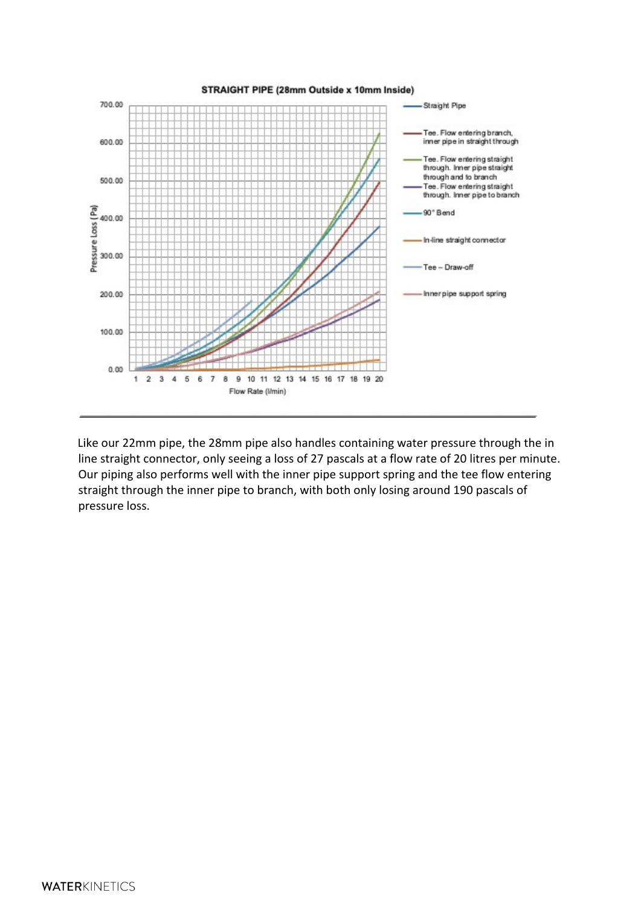

Like our 22mm pipe, the 28mm pipe also handles containing water pressure through the in line straight connector, only seeing a loss of 27 pascals at a flow rate of 20 litres per minute. Our piping also performs well with the inner pipe support spring and the tee flow entering straight through the inner pipe to branch, with both only losing around 190 pascals of pressure loss.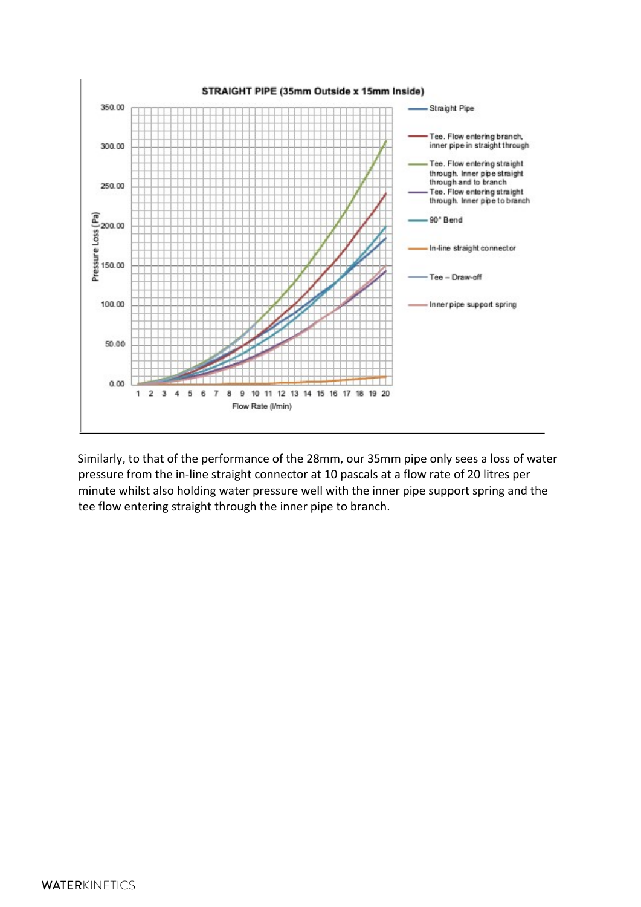

Similarly, to that of the performance of the 28mm, our 35mm pipe only sees a loss of water pressure from the in-line straight connector at 10 pascals at a flow rate of 20 litres per minute whilst also holding water pressure well with the inner pipe support spring and the tee flow entering straight through the inner pipe to branch.